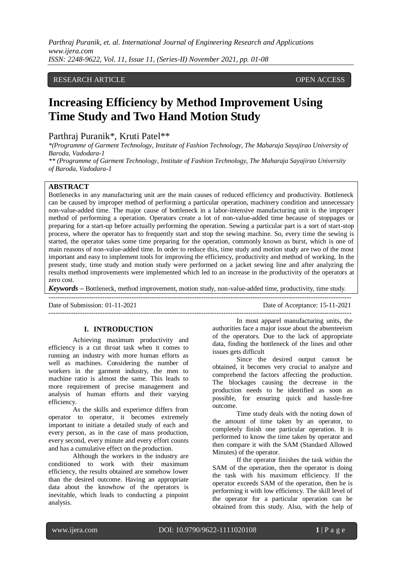# RESEARCH ARTICLE **CONSERVERS** OPEN ACCESS

# **Increasing Efficiency by Method Improvement Using Time Study and Two Hand Motion Study**

# Parthraj Puranik\*, Kruti Patel\*\*

*\*(Programme of Garment Technology, Institute of Fashion Technology, The Maharaja Sayajirao University of Baroda, Vadodara-1*

*\*\* (Programme of Garment Technology, Institute of Fashion Technology, The Maharaja Sayajirao University of Baroda, Vadodara-1*

# **ABSTRACT**

Bottlenecks in any manufacturing unit are the main causes of reduced efficiency and productivity. Bottleneck can be caused by improper method of performing a particular operation, machinery condition and unnecessary non-value-added time. The major cause of bottleneck in a labor-intensive manufacturing unit is the improper method of performing a operation. Operators create a lot of non-value-added time because of stoppages or preparing for a start-up before actually performing the operation. Sewing a particular part is a sort of start-stop process, where the operator has to frequently start and stop the sewing machine. So, every time the sewing is started, the operator takes some time preparing for the operation, commonly known as burst, which is one of main reasons of non-value-added time. In order to reduce this, time study and motion study are two of the most important and easy to implement tools for improving the efficiency, productivity and method of working. In the present study, time study and motion study were performed on a jacket sewing line and after analyzing the results method improvements were implemented which led to an increase in the productivity of the operators at zero cost.

*Keywords* **–** Bottleneck, method improvement, motion study, non-value-added time, productivity, time study. ---------------------------------------------------------------------------------------------------------------------------------------

Date of Submission: 01-11-2021 Date of Acceptance: 15-11-2021

---------------------------------------------------------------------------------------------------------------------------------------

# **I. INTRODUCTION**

Achieving maximum productivity and efficiency is a cut throat task when it comes to running an industry with more human efforts as well as machines. Considering the number of workers in the garment industry, the men to machine ratio is almost the same. This leads to more requirement of precise management and analysis of human efforts and their varying efficiency.

As the skills and experience differs from operator to operator, it becomes extremely important to initiate a detailed study of each and every person, as in the case of mass production, every second, every minute and every effort counts and has a cumulative effect on the production.

Although the workers in the industry are conditioned to work with their maximum efficiency, the results obtained are somehow lower than the desired outcome. Having an appropriate data about the knowhow of the operators is inevitable, which leads to conducting a pinpoint analysis.

In most apparel manufacturing units, the authorities face a major issue about the absenteeism of the operators. Due to the lack of appropriate data, finding the bottleneck of the lines and other issues gets difficult

Since the desired output cannot be obtained, it becomes very crucial to analyze and comprehend the factors affecting the production. The blockages causing the decrease in the production needs to be identified as soon as possible, for ensuring quick and hassle-free outcome.

Time study deals with the noting down of the amount of time taken by an operator, to completely finish one particular operation. It is performed to know the time taken by operator and then compare it with the SAM (Standard Allowed Minutes) of the operator.

If the operator finishes the task within the SAM of the operation, then the operator is doing the task with his maximum efficiency. If the operator exceeds SAM of the operation, then he is performing it with low efficiency. The skill level of the operator for a particular operation can be obtained from this study. Also, with the help of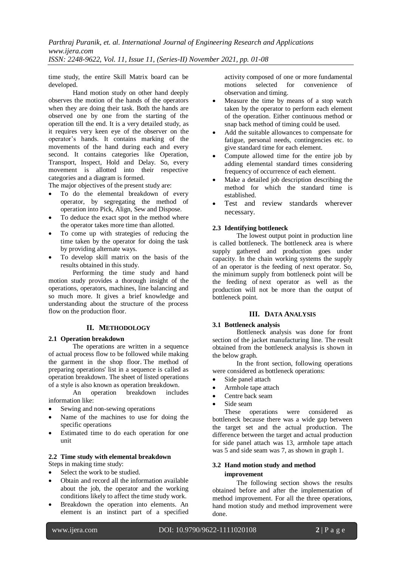time study, the entire Skill Matrix board can be developed.

Hand motion study on other hand deeply observes the motion of the hands of the operators when they are doing their task. Both the hands are observed one by one from the starting of the operation till the end. It is a very detailed study, as it requires very keen eye of the observer on the operator's hands. It contains marking of the movements of the hand during each and every second. It contains categories like Operation, Transport, Inspect, Hold and Delay. So, every movement is allotted into their respective categories and a diagram is formed.

The major objectives of the present study are:

- To do the elemental breakdown of every operator, by segregating the method of operation into Pick, Align, Sew and Dispose.
- To deduce the exact spot in the method where the operator takes more time than allotted.
- To come up with strategies of reducing the time taken by the operator for doing the task by providing alternate ways.
- To develop skill matrix on the basis of the results obtained in this study.

Performing the time study and hand motion study provides a thorough insight of the operations, operators, machines, line balancing and so much more. It gives a brief knowledge and understanding about the structure of the process flow on the production floor.

# **II. METHODOLOGY**

## **2.1 Operation breakdown**

The operations are written in a sequence of actual process flow to be followed while making the garment in the shop floor. The method of preparing operations' list in a sequence is called as operation breakdown. The sheet of listed operations of a style is also known as operation breakdown.

An operation breakdown includes information like:

- Sewing and non-sewing operations
- Name of the machines to use for doing the specific operations
- Estimated time to do each operation for one unit

## **2.2 Time study with elemental breakdown**

Steps in making time study:

- Select the work to be studied.
- Obtain and record all the information available about the job, the operator and the working conditions likely to affect the time study work.
- Breakdown the operation into elements. An element is an instinct part of a specified

activity composed of one or more fundamental motions selected for convenience observation and timing.

- Measure the time by means of a stop watch taken by the operator to perform each element of the operation. Either continuous method or snap back method of timing could be used.
- Add the suitable allowances to compensate for fatigue, personal needs, contingencies etc. to give standard time for each element.
- Compute allowed time for the entire job by adding elemental standard times considering frequency of occurrence of each element.
- Make a detailed job description describing the method for which the standard time is established.
- Test and review standards wherever necessary.

#### **2.3 Identifying bottleneck**

The lowest output point in production line is called bottleneck. The bottleneck area is where supply gathered and production goes under capacity. In the chain working systems the supply of an operator is the feeding of next operator. So, the minimum supply from bottleneck point will be the feeding of next operator as well as the production will not be more than the output of bottleneck point.

# **III. DATA ANALYSIS**

#### **3.1 Bottleneck analysis**

Bottleneck analysis was done for front section of the jacket manufacturing line. The result obtained from the bottleneck analysis is shown in the below graph.

In the front section, following operations were considered as bottleneck operations:

- Side panel attach
- Armhole tape attach
- Centre back seam
- Side seam

These operations were considered as bottleneck because there was a wide gap between the target set and the actual production. The difference between the target and actual production for side panel attach was 13, armhole tape attach was 5 and side seam was 7, as shown in graph 1.

# **3.2 Hand motion study and method improvement**

The following section shows the results obtained before and after the implementation of method improvement. For all the three operations, hand motion study and method improvement were done.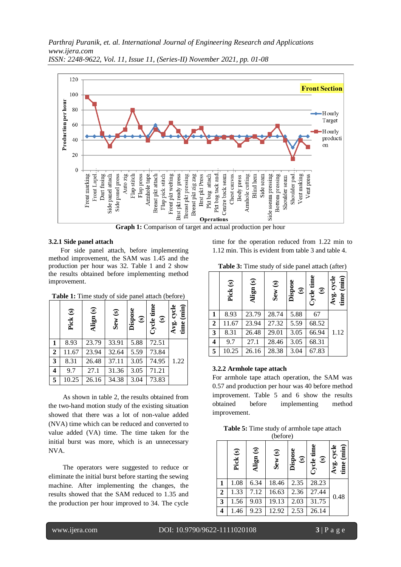

**Graph 1:** Comparison of target and actual production per hour

# **3.2.1 Side panel attach**

For side panel attach, before implementing method improvement, the SAM was 1.45 and the production per hour was 32. Table 1 and 2 show the results obtained before implementing method improvement.

|                         | Pick (s) | $\circledast$<br>Align | Sew (s) | Dispose<br>$\odot$ | $Cycle$ time<br>$\odot$ | (imin)<br>cycle<br>Avg.<br>time |
|-------------------------|----------|------------------------|---------|--------------------|-------------------------|---------------------------------|
| 1                       | 8.93     | 23.79                  | 33.91   | 5.88               | 72.51                   |                                 |
| $\boldsymbol{2}$        | 11.67    | 23.94                  | 32.64   | 5.59               | 73.84                   |                                 |
| $\overline{\mathbf{3}}$ | 8.31     | 26.48                  | 37.11   | 3.05               | 74.95                   | 1.22                            |
| 4                       | 9.7      | 27.1                   | 31.36   | 3.05               | 71.21                   |                                 |
| 5                       | 10.25    | 26.16                  | 34.38   | 3.04               | 73.83                   |                                 |

**Table 1:** Time study of side panel attach (before)

As shown in table 2, the results obtained from the two-hand motion study of the existing situation showed that there was a lot of non-value added (NVA) time which can be reduced and converted to value added (VA) time. The time taken for the initial burst was more, which is an unnecessary NVA.

The operators were suggested to reduce or eliminate the initial burst before starting the sewing machine. After implementing the changes, the results showed that the SAM reduced to 1.35 and the production per hour improved to 34. The cycle

time for the operation reduced from 1.22 min to 1.12 min. This is evident from table 3 and table 4.

**Table 3:** Time study of side panel attach (after)

|              | Pick (s) | Align (s) | Sew(s) | Dispose<br>$\odot$ | $Cycle$ time<br>$\odot$ | $\overline{\text{min}}$<br>cycle<br>Avg.<br>time |
|--------------|----------|-----------|--------|--------------------|-------------------------|--------------------------------------------------|
| 1            | 8.93     | 23.79     | 28.74  | 5.88               | 67                      |                                                  |
| $\mathbf{2}$ | 11.67    | 23.94     | 27.32  | 5.59               | 68.52                   |                                                  |
| 3            | 8.31     | 26.48     | 29.01  | 3.05               | 66.94                   | 1.12                                             |
| 4            | 9.7      | 27.1      | 28.46  | 3.05               | 68.31                   |                                                  |
| 5            | 10.25    | 26.16     | 28.38  | 3.04               | 67.83                   |                                                  |

# **3.2.2 Armhole tape attach**

For armhole tape attach operation, the SAM was 0.57 and production per hour was 40 before method improvement. Table 5 and 6 show the results obtained before implementing method improvement.

| <b>Table 5:</b> Time study of armhole tape attach |
|---------------------------------------------------|
| (before)                                          |

|              | Pick (s) | Align (s) | Sew (s) | Dispose<br>$\odot$ | $Cycle$ time<br>$\odot$ | (imin)<br>cycle<br>time <sup></sup><br>Avg. |
|--------------|----------|-----------|---------|--------------------|-------------------------|---------------------------------------------|
| 1            | 1.08     | 6.34      | 18.46   | 2.35               | 28.23                   |                                             |
| $\mathbf{2}$ | 1.33     | 7.12      | 16.63   | 2.36               | 27.44                   | 0.48                                        |
| 3            | 1.56     | 9.03      | 19.13   | 2.03               | 31.75                   |                                             |
| 4            | 1.46     | 9.23      | 12.92   | 2.53               | 26.14                   |                                             |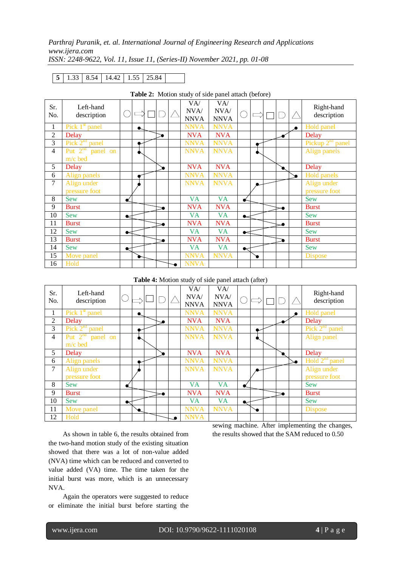# **5** 1.33 8.54 14.42 1.55 25.84

|            |                          |                       |           |   | <b>Table 2:</b> Motion study of side panel attach (before) |                            |           |   |    |   |                              |
|------------|--------------------------|-----------------------|-----------|---|------------------------------------------------------------|----------------------------|-----------|---|----|---|------------------------------|
| Sr.<br>No. | Left-hand<br>description |                       |           |   | VA/<br>NVA/<br><b>NNVA</b>                                 | VA/<br>NVA/<br><b>NNVA</b> | C         |   |    |   | Right-hand<br>description    |
| 1          | Pick $1st$ panel         |                       | $\bullet$ |   | <b>NNVA</b>                                                | <b>NNVA</b>                |           |   |    | ∙ | Hold panel                   |
| 2          | Delay                    |                       |           | Ò | <b>NVA</b>                                                 | <b>NVA</b>                 |           |   |    |   | Delay                        |
| 3          | Pick $2^{nd}$<br>panel   |                       |           |   | <b>NNVA</b>                                                | <b>NNVA</b>                |           |   |    |   | Pickup 2 <sup>nd</sup> panel |
| 4          | Put $2^{nd}$<br>panel on |                       |           |   | <b>NNVA</b>                                                | <b>NNVA</b>                |           |   |    |   | Align panels                 |
|            | $m/c$ bed                |                       |           |   |                                                            |                            |           |   |    |   |                              |
| 5          | Delay                    |                       |           | ó | <b>NVA</b>                                                 | <b>NVA</b>                 |           |   | `a |   | Delay                        |
| 6          | Align panels             |                       |           |   | <b>NNVA</b>                                                | <b>NNVA</b>                |           |   |    | Ó | Hold panels                  |
| 7          | Align under              |                       |           |   | <b>NNVA</b>                                                | <b>NNVA</b>                |           |   |    |   | Align under                  |
|            | pressure foot            |                       |           |   |                                                            |                            |           |   |    |   | pressure foot                |
| 8          | Sew                      | $\mathbf{\in}$        |           |   | <b>VA</b>                                                  | <b>VA</b>                  | ≁         |   |    |   | <b>Sew</b>                   |
| 9          | <b>Burst</b>             |                       |           |   | <b>NVA</b>                                                 | <b>NVA</b>                 |           |   |    |   | <b>Burst</b>                 |
| 10         | Sew                      | ←                     |           |   | <b>VA</b>                                                  | <b>VA</b>                  | $\bullet$ |   |    |   | Sew                          |
| 11         | <b>Burst</b>             |                       |           |   | <b>NVA</b>                                                 | <b>NVA</b>                 |           |   |    |   | <b>Burst</b>                 |
| 12         | Sew                      | $\blacktriangleright$ |           |   | <b>VA</b>                                                  | VA                         | $\sim$    |   |    |   | Sew                          |
| 13         | <b>Burst</b>             |                       |           |   | <b>NVA</b>                                                 | <b>NVA</b>                 |           |   |    |   | <b>Burst</b>                 |
| 14         | Sew                      | $\bullet$             |           |   | <b>VA</b>                                                  | VA                         | $\bullet$ |   |    |   | Sew                          |
| 15         | Move panel               |                       |           |   | <b>NNVA</b>                                                | <b>NNVA</b>                |           | ኈ |    |   | <b>Dispose</b>               |
| 16         | Hold                     |                       |           |   | <b>NNVA</b>                                                |                            |           |   |    |   |                              |

**Table 2:** Motion study of side panel attach (before)

**Table 4:** Motion study of side panel attach (after)

| Sr.<br>No.     | Left-hand<br>description    |           |           |                       | VA/<br>NVA/<br><b>NNVA</b> | VA/<br>NVA/<br><b>NNVA</b> |           |           |   |           | Right-hand<br>description |
|----------------|-----------------------------|-----------|-----------|-----------------------|----------------------------|----------------------------|-----------|-----------|---|-----------|---------------------------|
| 1              | Pick $1st$ panel            |           | $\bullet$ |                       | <b>NNVA</b>                | <b>NNVA</b>                |           |           |   | $\bullet$ | Hold panel                |
| $\overline{c}$ | Delay                       |           |           | ╺                     | <b>NVA</b>                 | <b>NVA</b>                 |           |           | × |           | Delay                     |
| 3              | Pick $2^{nd}$<br>panel      |           |           |                       | <b>NNVA</b>                | <b>NNVA</b>                |           | $\bullet$ |   |           | Pick $2nd$ panel          |
| 4              | Put $2^{nd}$<br>panel<br>on |           |           |                       | <b>NNVA</b>                | <b>NNVA</b>                |           |           |   |           | Align panel               |
|                | $m/c$ bed                   |           |           |                       |                            |                            |           |           |   |           |                           |
| 5              | Delay                       |           |           | ኈ                     | <b>NVA</b>                 | <b>NVA</b>                 |           |           |   |           | Delay                     |
| 6              | Align panels                |           |           |                       | <b>NNVA</b>                | <b>NNVA</b>                |           |           |   | ×.        | Hold $2^{nd}$ panel       |
| 7              | Align under                 |           |           |                       | <b>NNVA</b>                | <b>NNVA</b>                |           |           |   |           | Align under               |
|                | pressure foot               |           |           |                       |                            |                            |           |           |   |           | pressure foot             |
| 8              | <b>Sew</b>                  |           |           |                       | <b>VA</b>                  | <b>VA</b>                  |           |           |   |           | <b>Sew</b>                |
| 9              | <b>Burst</b>                |           |           | $\blacktriangleright$ | <b>NVA</b>                 | <b>NVA</b>                 |           |           |   |           | <b>Burst</b>              |
| 10             | <b>Sew</b>                  | $\bullet$ |           |                       | VA                         | <b>VA</b>                  | $\bullet$ |           |   |           | <b>Sew</b>                |
| 11             | Move panel                  |           | $\bullet$ |                       | <b>NNVA</b>                | <b>NNVA</b>                |           | ↘         |   |           | <b>Dispose</b>            |
| 12             | Hold                        |           |           |                       | <b>NNVA</b>                |                            |           |           |   |           |                           |

As shown in table 6, the results obtained from the two-hand motion study of the existing situation showed that there was a lot of non-value added (NVA) time which can be reduced and converted to value added (VA) time. The time taken for the initial burst was more, which is an unnecessary NVA.

Again the operators were suggested to reduce or eliminate the initial burst before starting the sewing machine. After implementing the changes, the results showed that the SAM reduced to 0.50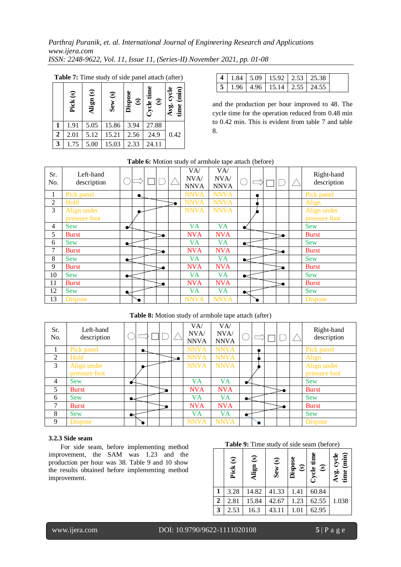|                | <b>Table 7:</b> Time study of side panel attach (after) |                         |         |                           |         |                                 |  |  |  |  |  |
|----------------|---------------------------------------------------------|-------------------------|---------|---------------------------|---------|---------------------------------|--|--|--|--|--|
|                | Pick (s)                                                | $\mathbf{S}$<br>Align ( | Sew (s) | <b>Dispose</b><br>$\odot$ | $\odot$ | cycle<br>(imin)<br>time<br>Avg. |  |  |  |  |  |
| 1              | 1.91                                                    | 5.05                    | 15.86   | 3.94                      | 27.88   |                                 |  |  |  |  |  |
| $\overline{2}$ | 2.01                                                    | 5.12                    | 15.21   | 2.56                      | 24.9    | 0.42                            |  |  |  |  |  |
| $\mathbf{3}$   | 1.75                                                    | 5.00                    | 15.03   | 2.33                      | 24.11   |                                 |  |  |  |  |  |

|  | $\vert$ 4   1.84   5.09   15.92   2.53   25.38 |  |
|--|------------------------------------------------|--|
|  | $\boxed{5}$ 1.96 4.96 15.14 2.55 24.55         |  |

and the production per hour improved to 48. The cycle time for the operation reduced from 0.48 min to 0.42 min. This is evident from table 7 and table 8.

| Sr.<br>No. | Left-hand<br>description |                 |           |  | VA/<br>NVA/<br><b>NNVA</b> | VA/<br>NVA/<br><b>NNVA</b> |                          |  |  | Right-hand<br>description |
|------------|--------------------------|-----------------|-----------|--|----------------------------|----------------------------|--------------------------|--|--|---------------------------|
| 1          | Pick panel               |                 | $\bullet$ |  | <b>NNVA</b>                | <b>NNVA</b>                |                          |  |  | Pick panel                |
| 2          | Hold                     |                 |           |  | <b>NNVA</b>                | <b>NNVA</b>                |                          |  |  | Align                     |
| 3          | Align under              |                 |           |  | <b>NNVA</b>                | <b>NNVA</b>                |                          |  |  | Align under               |
|            | pressure foot            |                 |           |  |                            |                            |                          |  |  | pressure foot             |
| 4          | Sew                      | $\bullet$       |           |  | <b>VA</b>                  | <b>VA</b>                  | $\bullet'$               |  |  | <b>Sew</b>                |
| 5          | <b>Burst</b>             |                 |           |  | <b>NVA</b>                 | <b>NVA</b>                 |                          |  |  | <b>Burst</b>              |
| 6          | <b>Sew</b>               | ఆ               |           |  | <b>VA</b>                  | <b>VA</b>                  | $\mathbf{\epsilon}$      |  |  | <b>Sew</b>                |
| 7          | <b>Burst</b>             |                 |           |  | <b>NVA</b>                 | <b>NVA</b>                 |                          |  |  | <b>Burst</b>              |
| 8          | <b>Sew</b>               | ⊷               |           |  | <b>VA</b>                  | <b>VA</b>                  | $\overline{\phantom{a}}$ |  |  | Sew                       |
| 9          | <b>Burst</b>             |                 |           |  | <b>NVA</b>                 | <b>NVA</b>                 |                          |  |  | <b>Burst</b>              |
| 10         | <b>Sew</b>               | $\bullet$       |           |  | VA                         | <b>VA</b>                  | $\mathbf{C}$             |  |  | <b>Sew</b>                |
| 11         | <b>Burst</b>             |                 |           |  | <b>NVA</b>                 | <b>NVA</b>                 |                          |  |  | <b>Burst</b>              |
| 12         | <b>Sew</b>               | $\blacklozenge$ |           |  | <b>VA</b>                  | <b>VA</b>                  | $\blacktriangleright$    |  |  | <b>Sew</b>                |
| 13         | <b>Dispose</b>           |                 |           |  | <b>NNVA</b>                | <b>NNVA</b>                |                          |  |  | <b>Dispose</b>            |

## **Table 6:** Motion study of armhole tape attach (before)

#### **Table 8:** Motion study of armhole tape attach (after)

| Sr.<br>No.     | Left-hand<br>description |           |  |  | VA/<br>NVA/<br><b>NNVA</b> | VA/<br>NVA/<br><b>NNVA</b> |                         |   |  | Right-hand<br>description |
|----------------|--------------------------|-----------|--|--|----------------------------|----------------------------|-------------------------|---|--|---------------------------|
|                | Pick panel               |           |  |  | <b>NNVA</b>                | <b>NNVA</b>                |                         |   |  | Pick panel                |
| $\overline{2}$ | Hold                     |           |  |  | <b>NNVA</b>                | <b>NNVA</b>                |                         |   |  | Align                     |
| 3              | Align under              |           |  |  | <b>NNVA</b>                | <b>NNVA</b>                |                         |   |  | Align under               |
|                | pressure foot            |           |  |  |                            |                            |                         |   |  | pressure foot             |
| $\overline{4}$ | <b>Sew</b>               |           |  |  | VA                         | <b>VA</b>                  |                         |   |  | <b>Sew</b>                |
| 5              | <b>Burst</b>             |           |  |  | <b>NVA</b>                 | <b>NVA</b>                 |                         |   |  | <b>Burst</b>              |
| 6              | <b>Sew</b>               |           |  |  | <b>VA</b>                  | <b>VA</b>                  | $\blacktriangleleft$    |   |  | <b>Sew</b>                |
| 7              | <b>Burst</b>             |           |  |  | <b>NVA</b>                 | <b>NVA</b>                 |                         |   |  | <b>Burst</b>              |
| 8              | <b>Sew</b>               | $\bullet$ |  |  | <b>VA</b>                  | <b>VA</b>                  | $\overline{\mathbf{r}}$ |   |  | <b>Sew</b>                |
| 9              | <b>Dispose</b>           |           |  |  | <b>NNVA</b>                | <b>NNVA</b>                |                         | ↘ |  | <b>Dispose</b>            |

## **3.2.3 Side seam**

For side seam, before implementing method improvement, the SAM was 1.23 and the production per hour was 38. Table 9 and 10 show the results obtained before implementing method improvement.

## **Table 9:** Time study of side seam (before)

|                | Pick (s) | $\circledast$<br>Align | Sew (s) | Dispose<br>$\odot$ | ω<br>Ě<br>$\odot$<br>$C$ ycle | cycle<br>(imin)<br>Avg.<br>time |
|----------------|----------|------------------------|---------|--------------------|-------------------------------|---------------------------------|
| 1              | 3.28     | 14.82                  | 41.33   | 1.41               | 60.84                         |                                 |
| $\overline{2}$ | 2.81     | 15.84                  | 42.67   | 1.23               | 62.55                         | 1.038                           |
| 3              | 2.53     | 16.3                   | 43.11   | 1.01               | 62.95                         |                                 |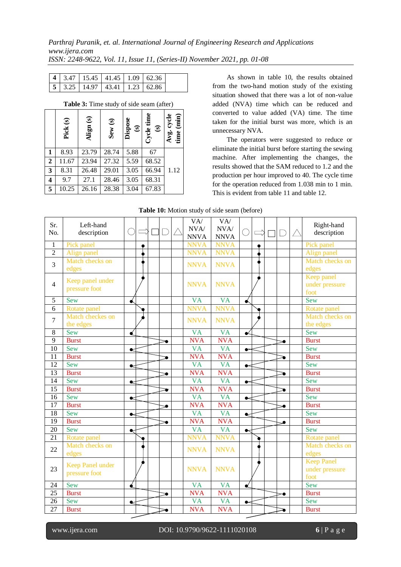|  | $\mid$ 4   3.47   15.45   41.45   1.09   62.36                            |  |  |
|--|---------------------------------------------------------------------------|--|--|
|  | $\vert 5 \vert 3.25 \vert 14.97 \vert 43.41 \vert 1.23 \vert 62.86 \vert$ |  |  |

|                  | Pick (s) | Align (s) | Sew (s) | Dispose<br>$\odot$ | $\mathop{\rm Cycle}\nolimits$ time<br>$\odot$ | $(\min)$<br>cycle<br>Avg.<br>time |
|------------------|----------|-----------|---------|--------------------|-----------------------------------------------|-----------------------------------|
| 1                | 8.93     | 23.79     | 28.74   | 5.88               | 67                                            |                                   |
| $\boldsymbol{2}$ | 11.67    | 23.94     | 27.32   | 5.59               | 68.52                                         |                                   |
| 3                | 8.31     | 26.48     | 29.01   | 3.05               | 66.94                                         | 1.12                              |
| 4                | 9.7      | 27.1      | 28.46   | 3.05               | 68.31                                         |                                   |
| 5                | 10.25    | 26.16     | 28.38   | 3.04               | 67.83                                         |                                   |

# **Table 3:** Time study of side seam (after)

As shown in table 10, the results obtained from the two-hand motion study of the existing situation showed that there was a lot of non-value added (NVA) time which can be reduced and converted to value added (VA) time. The time taken for the initial burst was more, which is an unnecessary NVA.

The operators were suggested to reduce or eliminate the initial burst before starting the sewing machine. After implementing the changes, the results showed that the SAM reduced to 1.2 and the production per hour improved to 40. The cycle time for the operation reduced from 1.038 min to 1 min. This is evident from table 11 and table 12.

|  | Table 10: Motion study of side seam (before) |  |
|--|----------------------------------------------|--|
|--|----------------------------------------------|--|

| Sr.<br>No.      | Left-hand<br>description                 |                      |  |                       | VA/<br>NVA/<br><b>NNVA</b> | VA/<br>NVA/<br><b>NNVA</b> | $\bigcirc$       |           |                       | $\bigtriangleup$ | Right-hand<br>description                   |
|-----------------|------------------------------------------|----------------------|--|-----------------------|----------------------------|----------------------------|------------------|-----------|-----------------------|------------------|---------------------------------------------|
| $\mathbf{1}$    | Pick panel                               |                      |  |                       | <b>NNVA</b>                | <b>NNVA</b>                |                  | $\bullet$ |                       |                  | Pick panel                                  |
| $\overline{2}$  | Align panel                              |                      |  |                       | <b>NNVA</b>                | <b>NNVA</b>                |                  |           |                       |                  | Align panel                                 |
| 3               | Match checks on<br>edges                 |                      |  |                       | <b>NNVA</b>                | <b>NNVA</b>                |                  |           |                       |                  | Match checks on<br>edges                    |
| $\overline{4}$  | Keep panel under<br>pressure foot        |                      |  |                       | <b>NNVA</b>                | <b>NNVA</b>                |                  |           |                       |                  | Keep panel<br>under pressure<br>foot        |
| 5               | <b>Sew</b>                               | $\triangle$          |  |                       | <b>VA</b>                  | <b>VA</b>                  | $\blacktriangle$ |           |                       |                  | <b>Sew</b>                                  |
| $\overline{6}$  | Rotate panel                             |                      |  |                       | <b>NNVA</b>                | <b>NNVA</b>                |                  |           |                       |                  | Rotate panel                                |
| $\overline{7}$  | Match checkes on<br>the edges            |                      |  |                       | <b>NNVA</b>                | <b>NNVA</b>                |                  |           |                       |                  | Match checks on<br>the edges                |
| 8               | <b>Sew</b>                               | $\blacktriangleleft$ |  |                       | <b>VA</b>                  | <b>VA</b>                  | $\mathbf{\in}$   |           |                       |                  | <b>Sew</b>                                  |
| $\overline{9}$  | <b>Burst</b>                             |                      |  | ÷                     | <b>NVA</b>                 | <b>NVA</b>                 |                  |           | $\blacktriangleright$ |                  | <b>Burst</b>                                |
| $\overline{10}$ | <b>Sew</b>                               | $\bullet$            |  |                       | <b>VA</b>                  | <b>VA</b>                  | $\bullet$        |           |                       |                  | Sew                                         |
| 11              | <b>Burst</b>                             |                      |  | Ď                     | <b>NVA</b>                 | <b>NVA</b>                 |                  |           | ∍                     |                  | <b>Burst</b>                                |
| 12              | <b>Sew</b>                               | $\bullet$            |  |                       | <b>VA</b>                  | <b>VA</b>                  | $\bullet$        |           |                       |                  | <b>Sew</b>                                  |
| 13              | <b>Burst</b>                             |                      |  | ×,                    | <b>NVA</b>                 | <b>NVA</b>                 |                  |           | ∍                     |                  | <b>Burst</b>                                |
| $\overline{14}$ | <b>Sew</b>                               | Ł                    |  |                       | <b>VA</b>                  | <b>VA</b>                  | $\bullet$        |           |                       |                  | <b>Sew</b>                                  |
| $\overline{15}$ | <b>Burst</b>                             |                      |  | ×                     | <b>NVA</b>                 | <b>NVA</b>                 |                  |           | Ò                     |                  | <b>Burst</b>                                |
| 16              | <b>Sew</b>                               | $\bullet$            |  |                       | $\overline{\mathsf{VA}}$   | <b>VA</b>                  | $\bullet$        |           |                       |                  | <b>Sew</b>                                  |
| $\overline{17}$ | <b>Burst</b>                             |                      |  | ۵                     | <b>NVA</b>                 | <b>NVA</b>                 |                  |           | ∙                     |                  | <b>Burst</b>                                |
| 18              | <b>Sew</b>                               | $\bullet$            |  |                       | <b>VA</b>                  | <b>VA</b>                  | $\bullet$        |           |                       |                  | <b>Sew</b>                                  |
| $\overline{19}$ | <b>Burst</b>                             |                      |  | $\blacktriangleright$ | <b>NVA</b>                 | <b>NVA</b>                 |                  |           | ٠                     |                  | <b>Burst</b>                                |
| $\overline{20}$ | <b>Sew</b>                               | $\bullet$            |  |                       | <b>VA</b>                  | <b>VA</b>                  | $\bullet$        |           |                       |                  | <b>Sew</b>                                  |
| $\overline{21}$ | <b>Rotate</b> panel                      |                      |  |                       | <b>NNVA</b>                | <b>NNVA</b>                |                  | >         |                       |                  | Rotate panel                                |
| 22              | Match checks on<br>edges                 |                      |  |                       | <b>NNVA</b>                | <b>NNVA</b>                |                  |           |                       |                  | Match checks on<br>edges                    |
| 23              | <b>Keep Panel under</b><br>pressure foot |                      |  |                       | <b>NNVA</b>                | <b>NNVA</b>                |                  |           |                       |                  | <b>Keep Panel</b><br>under pressure<br>foot |
| 24              | <b>Sew</b>                               | $\blacktriangle$     |  |                       | <b>VA</b>                  | <b>VA</b>                  | $\bullet'$       |           |                       |                  | <b>Sew</b>                                  |
| 25              | <b>Burst</b>                             |                      |  | ó                     | <b>NVA</b>                 | <b>NVA</b>                 |                  |           | -0                    |                  | <b>Burst</b>                                |
| 26              | <b>Sew</b>                               | €                    |  |                       | <b>VA</b>                  | <b>VA</b>                  | $\bullet$        |           |                       |                  | <b>Sew</b>                                  |
| 27              | <b>Burst</b>                             |                      |  |                       | <b>NVA</b>                 | <b>NVA</b>                 |                  |           | ∍                     |                  | <b>Burst</b>                                |

# www.ijera.com DOI: 10.9790/9622-1111020108 **6** | P a g e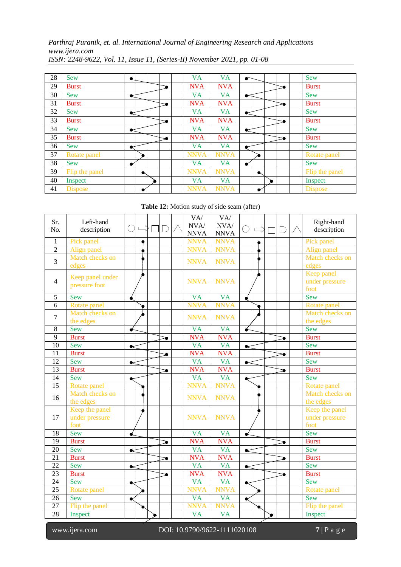| 28 | <b>Sew</b>     | $\bullet$            |           | <b>VA</b>   | <b>VA</b>   | $\bullet$             |   | <b>Sew</b>          |
|----|----------------|----------------------|-----------|-------------|-------------|-----------------------|---|---------------------|
| 29 | <b>Burst</b>   |                      |           | <b>NVA</b>  | <b>NVA</b>  |                       |   | <b>Burst</b>        |
| 30 | <b>Sew</b>     | c                    |           | <b>VA</b>   | <b>VA</b>   | $\blacktriangleright$ |   | <b>Sew</b>          |
| 31 | <b>Burst</b>   |                      |           | <b>NVA</b>  | <b>NVA</b>  |                       | ➢ | <b>Burst</b>        |
| 32 | <b>Sew</b>     | ←                    |           | <b>VA</b>   | <b>VA</b>   | ←                     |   | <b>Sew</b>          |
| 33 | <b>Burst</b>   |                      |           | <b>NVA</b>  | <b>NVA</b>  |                       |   | <b>Burst</b>        |
| 34 | <b>Sew</b>     | $\blacktriangleleft$ |           | VA          | <b>VA</b>   | $\blacktriangleright$ |   | <b>Sew</b>          |
| 35 | <b>Burst</b>   |                      |           | <b>NVA</b>  | <b>NVA</b>  |                       |   | <b>Burst</b>        |
| 36 | <b>Sew</b>     | $\bullet$            |           | <b>VA</b>   | VA          |                       |   | <b>Sew</b>          |
| 37 | Rotate panel   |                      |           | <b>NNVA</b> | <b>NNVA</b> | ↗                     |   | <b>Rotate panel</b> |
| 38 | <b>Sew</b>     | $\bullet$            |           | <b>VA</b>   | VA          | $\bullet$             |   | <b>Sew</b>          |
| 39 | Flip the panel |                      | $\bullet$ | <b>NNVA</b> | <b>NNVA</b> | $\bullet$             |   | Flip the panel      |
| 40 | Inspect        |                      |           | <b>VA</b>   | <b>VA</b>   |                       |   | Inspect             |
| 41 | <b>Dispose</b> |                      |           | <b>NNVA</b> | <b>NNVA</b> | $\bullet$             |   | <b>Dispose</b>      |

**Table 12:** Motion study of side seam (after)

| Sr.<br>No.      | Left-hand<br>description                 |                 |   |           | VA/<br>NVA/<br><b>NNVA</b> | VA/<br>NVA/<br><b>NNVA</b> | $(\ )$    |           |   | $\Box$         | $\triangle$ | Right-hand<br>description                |
|-----------------|------------------------------------------|-----------------|---|-----------|----------------------------|----------------------------|-----------|-----------|---|----------------|-------------|------------------------------------------|
| $\mathbf{1}$    | Pick panel                               |                 |   |           | <b>NNVA</b>                | <b>NNVA</b>                |           | ٠         |   |                |             | Pick panel                               |
| $\overline{2}$  | Align panel                              |                 |   |           | <b>NNVA</b>                | <b>NNVA</b>                |           |           |   |                |             | Align panel                              |
| 3               | Match checks on<br>edges                 |                 |   |           | <b>NNVA</b>                | <b>NNVA</b>                |           |           |   |                |             | Match checks on<br>edges                 |
| $\overline{4}$  | Keep panel under<br>pressure foot        |                 |   |           | <b>NNVA</b>                | <b>NNVA</b>                |           |           |   |                |             | Keep panel<br>under pressure<br>foot     |
| 5               | <b>Sew</b>                               | $\blacklozenge$ |   |           | <b>VA</b>                  | <b>VA</b>                  | $\bullet$ |           |   |                |             | <b>Sew</b>                               |
| $\overline{6}$  | <b>Rotate</b> panel                      |                 |   |           | <b>NNVA</b>                | <b>NNVA</b>                |           | $\bullet$ |   |                |             | Rotate panel                             |
| 7               | Match checks on<br>the edges             |                 |   |           | <b>NNVA</b>                | <b>NNVA</b>                |           |           |   |                |             | Match checks on<br>the edges             |
| $\overline{8}$  | <b>Sew</b>                               | $\blacklozenge$ |   |           | <b>VA</b>                  | <b>VA</b>                  | ✔         |           |   |                |             | <b>Sew</b>                               |
| $\overline{9}$  | <b>Burst</b>                             |                 |   | ₹         | <b>NVA</b>                 | <b>NVA</b>                 |           |           |   | Э              |             | <b>Burst</b>                             |
| $\overline{10}$ | <b>Sew</b>                               | $\bullet$       |   |           | $\overline{\text{VA}}$     | $\overline{\mathsf{VA}}$   | $\bullet$ |           |   |                |             | <b>Sew</b>                               |
| $\overline{11}$ | <b>Burst</b>                             |                 |   | Ś.        | <b>NVA</b>                 | <b>NVA</b>                 |           |           |   | ÷              |             | <b>Burst</b>                             |
| $\overline{12}$ | <b>Sew</b>                               | $\bullet$       |   |           | <b>VA</b>                  | $\overline{\text{VA}}$     | $\bullet$ |           |   |                |             | <b>Sew</b>                               |
| $\overline{13}$ | <b>Burst</b>                             |                 |   | <b>x</b>  | <b>NVA</b>                 | <b>NVA</b>                 |           |           |   | X,             |             | <b>Burst</b>                             |
| $\overline{14}$ | <b>Sew</b>                               | $\bullet$       |   |           | <b>VA</b>                  | <b>VA</b>                  | $\bullet$ |           |   |                |             | <b>Sew</b>                               |
| $\overline{15}$ | Rotate panel                             |                 |   |           | <b>NNVA</b>                | <b>NNVA</b>                |           |           |   |                |             | Rotate panel                             |
| 16              | Match checks on<br>the edges             |                 |   |           | <b>NNVA</b>                | <b>NNVA</b>                |           |           |   |                |             | Match checks on<br>the edges             |
| 17              | Keep the panel<br>under pressure<br>foot |                 |   |           | <b>NNVA</b>                | <b>NNVA</b>                |           |           |   |                |             | Keep the panel<br>under pressure<br>foot |
| $\overline{18}$ | <b>Sew</b>                               | ď               |   |           | <b>VA</b>                  | <b>VA</b>                  | $\bullet$ |           |   |                |             | <b>Sew</b>                               |
| 19              | <b>Burst</b>                             |                 |   | d         | <b>NVA</b>                 | <b>NVA</b>                 |           |           |   | ∍              |             | <b>Burst</b>                             |
| 20              | <b>Sew</b>                               | $\bullet$       |   |           | $\overline{\mathsf{VA}}$   | <b>VA</b>                  | $\bullet$ |           |   |                |             | <b>Sew</b>                               |
| $\overline{21}$ | <b>Burst</b>                             |                 |   | ð.        | <b>NVA</b>                 | <b>NVA</b>                 |           |           |   | $\blacksquare$ |             | <b>Burst</b>                             |
| $\overline{22}$ | <b>Sew</b>                               | $\bullet$       |   |           | $\overline{\text{VA}}$     | $\overline{\text{VA}}$     | $\bullet$ |           |   |                |             | <b>Sew</b>                               |
| 23              | <b>Burst</b>                             |                 |   | <b>DC</b> | <b>NVA</b>                 | <b>NVA</b>                 |           |           |   | <b>SC</b>      |             | <b>Burst</b>                             |
| $\overline{24}$ | <b>Sew</b>                               | $\bullet$       |   |           | $\overline{\mathsf{VA}}$   | $\overline{\mathsf{VA}}$   | $\bullet$ |           |   |                |             | <b>Sew</b>                               |
| $\overline{25}$ | Rotate panel                             |                 |   |           | <b>NNVA</b>                | <b>NNVA</b>                |           |           |   |                |             | Rotate panel                             |
| 26              | <b>Sew</b>                               | $\bullet$       |   |           | $\overline{\mathsf{VA}}$   | $\overline{\mathsf{VA}}$   | $\bullet$ |           |   |                |             | <b>Sew</b>                               |
| 27              | Flip the panel                           |                 |   |           | <b>NNVA</b>                | <b>NNVA</b>                |           | Ó.        |   |                |             | Flip the panel                           |
| 28              | Inspect                                  |                 | Ò |           | $\overline{\mathsf{VA}}$   | $\overline{\mathsf{VA}}$   |           |           | ó |                |             | Inspect                                  |

www.ijera.com DOI: 10.9790/9622-1111020108 **7** | P a g e